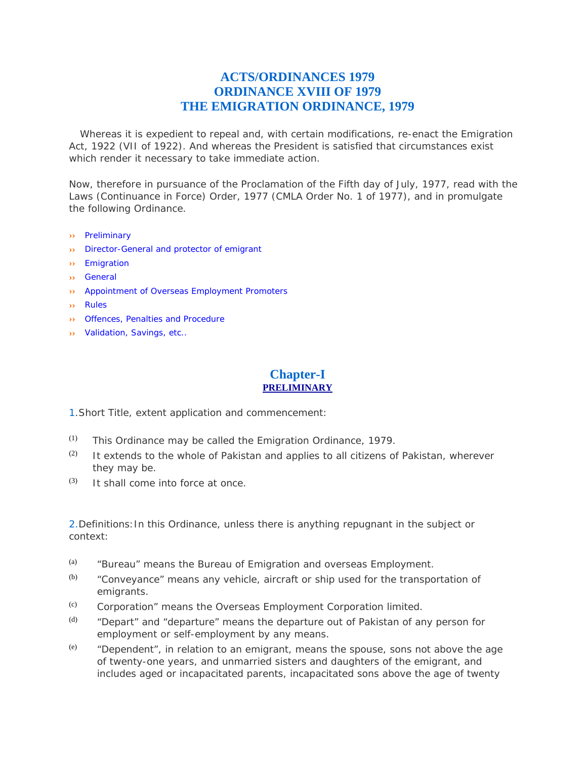# **ACTS/ORDINANCES 1979 ORDINANCE XVIII OF 1979 THE EMIGRATION ORDINANCE, 1979**

 Whereas it is expedient to repeal and, with certain modifications, re-enact the Emigration Act, 1922 (VII of 1922). And whereas the President is satisfied that circumstances exist which render it necessary to take immediate action.

Now, therefore in pursuance of the Proclamation of the Fifth day of July, 1977, read with the Laws (Continuance in Force) Order, 1977 (CMLA Order No. 1 of 1977), and in promulgate the following Ordinance.

- **››** Preliminary
- **››** Director-General and protector of emigrant
- **››** Emigration
- **››** General
- **››** Appointment of Overseas Employment Promoters
- **››** Rules
- **››** Offences, Penalties and Procedure
- **››** Validation, Savings, etc..

## **Chapter-I PRELIMINARY**

1.Short Title, extent application and commencement:

- $(1)$  This Ordinance may be called the Emigration Ordinance, 1979.
- $(2)$  It extends to the whole of Pakistan and applies to all citizens of Pakistan, wherever they may be.
- $(3)$  It shall come into force at once.

2.Definitions:In this Ordinance, unless there is anything repugnant in the subject or context:

- (a) "Bureau" means the Bureau of Emigration and overseas Employment.
- $(b)$  "Conveyance" means any vehicle, aircraft or ship used for the transportation of emigrants.
- (c) Corporation" means the Overseas Employment Corporation limited.
- (d) "Depart" and "departure" means the departure out of Pakistan of any person for employment or self-employment by any means.
- (e) "Dependent", in relation to an emigrant, means the spouse, sons not above the age of twenty-one years, and unmarried sisters and daughters of the emigrant, and includes aged or incapacitated parents, incapacitated sons above the age of twenty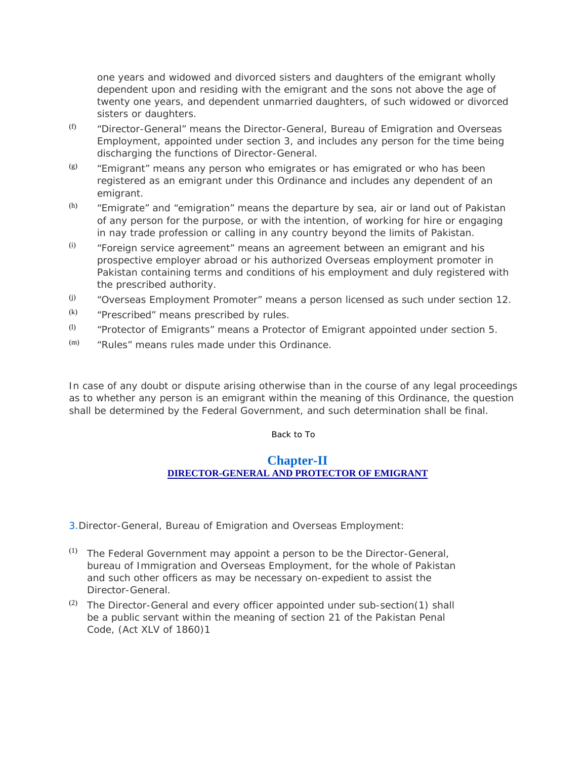one years and widowed and divorced sisters and daughters of the emigrant wholly dependent upon and residing with the emigrant and the sons not above the age of twenty one years, and dependent unmarried daughters, of such widowed or divorced sisters or daughters.

- (f) "Director-General" means the Director-General, Bureau of Emigration and Overseas Employment, appointed under section 3, and includes any person for the time being discharging the functions of Director-General.
- $($ g)  $($  "Emigrant" means any person who emigrates or has emigrated or who has been registered as an emigrant under this Ordinance and includes any dependent of an emigrant.
- $(h)$  "Emigrate" and "emigration" means the departure by sea, air or land out of Pakistan of any person for the purpose, or with the intention, of working for hire or engaging in nay trade profession or calling in any country beyond the limits of Pakistan.
- $(i)$  "Foreign service agreement" means an agreement between an emigrant and his prospective employer abroad or his authorized Overseas employment promoter in Pakistan containing terms and conditions of his employment and duly registered with the prescribed authority.
- $($ i $)$  "Overseas Employment Promoter" means a person licensed as such under section 12.
- $(k)$  "Prescribed" means prescribed by rules.
- $(1)$  "Protector of Emigrants" means a Protector of Emigrant appointed under section 5.
- $(m)$  "Rules" means rules made under this Ordinance.

In case of any doubt or dispute arising otherwise than in the course of any legal proceedings as to whether any person is an emigrant within the meaning of this Ordinance, the question shall be determined by the Federal Government, and such determination shall be final.

Back to To

### **Chapter-II DIRECTOR-GENERAL AND PROTECTOR OF EMIGRANT**

3.Director-General, Bureau of Emigration and Overseas Employment:

- $(1)$  The Federal Government may appoint a person to be the Director-General, bureau of Immigration and Overseas Employment, for the whole of Pakistan and such other officers as may be necessary on-expedient to assist the Director-General.
- (2) The Director-General and every officer appointed under sub-section(1) shall be a public servant within the meaning of section 21 of the Pakistan Penal Code, (Act XLV of 1860)1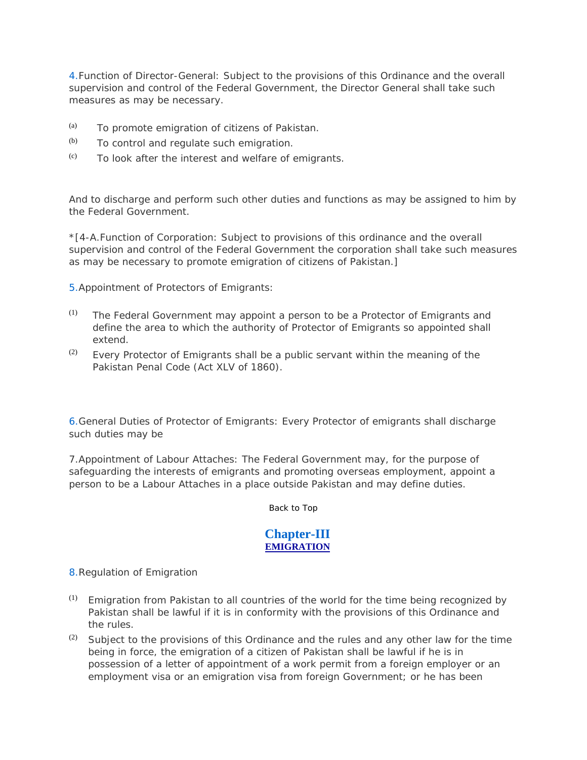4.Function of Director-General: Subject to the provisions of this Ordinance and the overall supervision and control of the Federal Government, the Director General shall take such measures as may be necessary.

- (a) To promote emigration of citizens of Pakistan.
- $(b)$  To control and regulate such emigration.
- $(c)$  To look after the interest and welfare of emigrants.

And to discharge and perform such other duties and functions as may be assigned to him by the Federal Government.

\*[4-A.Function of Corporation: Subject to provisions of this ordinance and the overall supervision and control of the Federal Government the corporation shall take such measures as may be necessary to promote emigration of citizens of Pakistan.]

5.Appointment of Protectors of Emigrants:

- $(1)$  The Federal Government may appoint a person to be a Protector of Emigrants and define the area to which the authority of Protector of Emigrants so appointed shall extend.
- $(2)$  Every Protector of Emigrants shall be a public servant within the meaning of the Pakistan Penal Code (Act XLV of 1860).

6.General Duties of Protector of Emigrants: Every Protector of emigrants shall discharge such duties may be

7.Appointment of Labour Attaches: The Federal Government may, for the purpose of safeguarding the interests of emigrants and promoting overseas employment, appoint a person to be a Labour Attaches in a place outside Pakistan and may define duties.

Back to Top

## **Chapter-III EMIGRATION**

8.Regulation of Emigration

- $(1)$  Emigration from Pakistan to all countries of the world for the time being recognized by Pakistan shall be lawful if it is in conformity with the provisions of this Ordinance and the rules.
- (2) Subject to the provisions of this Ordinance and the rules and any other law for the time being in force, the emigration of a citizen of Pakistan shall be lawful if he is in possession of a letter of appointment of a work permit from a foreign employer or an employment visa or an emigration visa from foreign Government; or he has been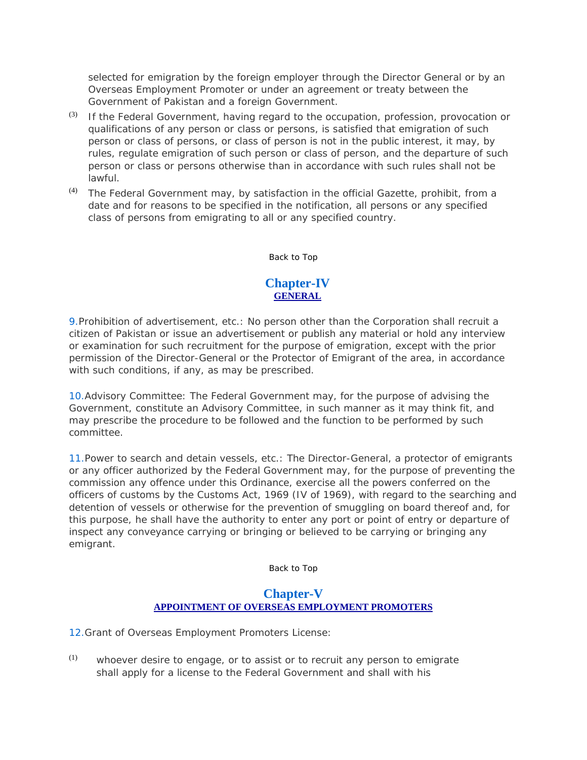selected for emigration by the foreign employer through the Director General or by an Overseas Employment Promoter or under an agreement or treaty between the Government of Pakistan and a foreign Government.

- $(3)$  If the Federal Government, having regard to the occupation, profession, provocation or qualifications of any person or class or persons, is satisfied that emigration of such person or class of persons, or class of person is not in the public interest, it may, by rules, regulate emigration of such person or class of person, and the departure of such person or class or persons otherwise than in accordance with such rules shall not be lawful.
- $(4)$  The Federal Government may, by satisfaction in the official Gazette, prohibit, from a date and for reasons to be specified in the notification, all persons or any specified class of persons from emigrating to all or any specified country.

Back to Top

## **Chapter-IV GENERAL**

9.Prohibition of advertisement, etc.: No person other than the Corporation shall recruit a citizen of Pakistan or issue an advertisement or publish any material or hold any interview or examination for such recruitment for the purpose of emigration, except with the prior permission of the Director-General or the Protector of Emigrant of the area, in accordance with such conditions, if any, as may be prescribed.

10.Advisory Committee: The Federal Government may, for the purpose of advising the Government, constitute an Advisory Committee, in such manner as it may think fit, and may prescribe the procedure to be followed and the function to be performed by such committee.

11.Power to search and detain vessels, etc.: The Director-General, a protector of emigrants or any officer authorized by the Federal Government may, for the purpose of preventing the commission any offence under this Ordinance, exercise all the powers conferred on the officers of customs by the Customs Act, 1969 (IV of 1969), with regard to the searching and detention of vessels or otherwise for the prevention of smuggling on board thereof and, for this purpose, he shall have the authority to enter any port or point of entry or departure of inspect any conveyance carrying or bringing or believed to be carrying or bringing any emigrant.

Back to Top

## **Chapter-V APPOINTMENT OF OVERSEAS EMPLOYMENT PROMOTERS**

12.Grant of Overseas Employment Promoters License:

 $(1)$  whoever desire to engage, or to assist or to recruit any person to emigrate shall apply for a license to the Federal Government and shall with his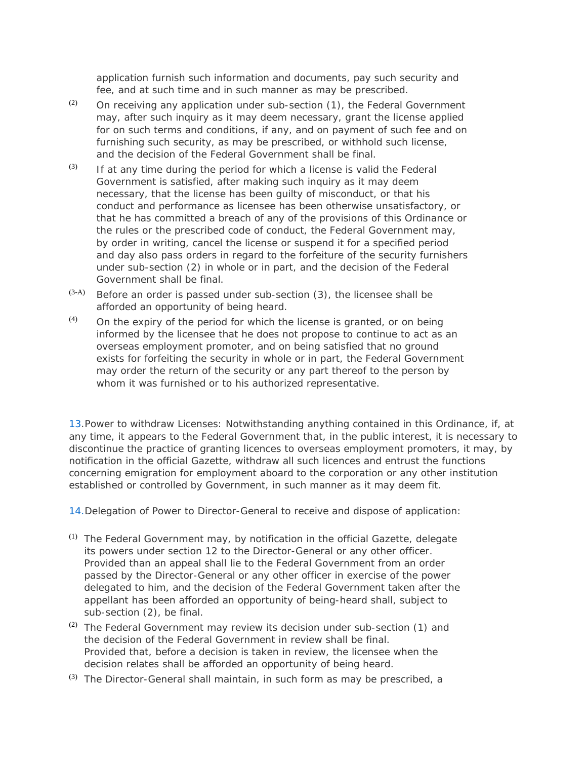application furnish such information and documents, pay such security and fee, and at such time and in such manner as may be prescribed.

- (2) On receiving any application under sub-section  $(1)$ , the Federal Government may, after such inquiry as it may deem necessary, grant the license applied for on such terms and conditions, if any, and on payment of such fee and on furnishing such security, as may be prescribed, or withhold such license, and the decision of the Federal Government shall be final.
- $(3)$  If at any time during the period for which a license is valid the Federal Government is satisfied, after making such inquiry as it may deem necessary, that the license has been guilty of misconduct, or that his conduct and performance as licensee has been otherwise unsatisfactory, or that he has committed a breach of any of the provisions of this Ordinance or the rules or the prescribed code of conduct, the Federal Government may, by order in writing, cancel the license or suspend it for a specified period and day also pass orders in regard to the forfeiture of the security furnishers under sub-section (2) in whole or in part, and the decision of the Federal Government shall be final.
- $(3-A)$  Before an order is passed under sub-section  $(3)$ , the licensee shall be afforded an opportunity of being heard.
- $(4)$  On the expiry of the period for which the license is granted, or on being informed by the licensee that he does not propose to continue to act as an overseas employment promoter, and on being satisfied that no ground exists for forfeiting the security in whole or in part, the Federal Government may order the return of the security or any part thereof to the person by whom it was furnished or to his authorized representative.

13.Power to withdraw Licenses: Notwithstanding anything contained in this Ordinance, if, at any time, it appears to the Federal Government that, in the public interest, it is necessary to discontinue the practice of granting licences to overseas employment promoters, it may, by notification in the official Gazette, withdraw all such licences and entrust the functions concerning emigration for employment aboard to the corporation or any other institution established or controlled by Government, in such manner as it may deem fit.

14.Delegation of Power to Director-General to receive and dispose of application:

- (1) The Federal Government may, by notification in the official Gazette, delegate its powers under section 12 to the Director-General or any other officer. Provided than an appeal shall lie to the Federal Government from an order passed by the Director-General or any other officer in exercise of the power delegated to him, and the decision of the Federal Government taken after the appellant has been afforded an opportunity of being-heard shall, subject to sub-section (2), be final.
- (2) The Federal Government may review its decision under sub-section (1) and the decision of the Federal Government in review shall be final. Provided that, before a decision is taken in review, the licensee when the decision relates shall be afforded an opportunity of being heard.
- $(3)$  The Director-General shall maintain, in such form as may be prescribed, a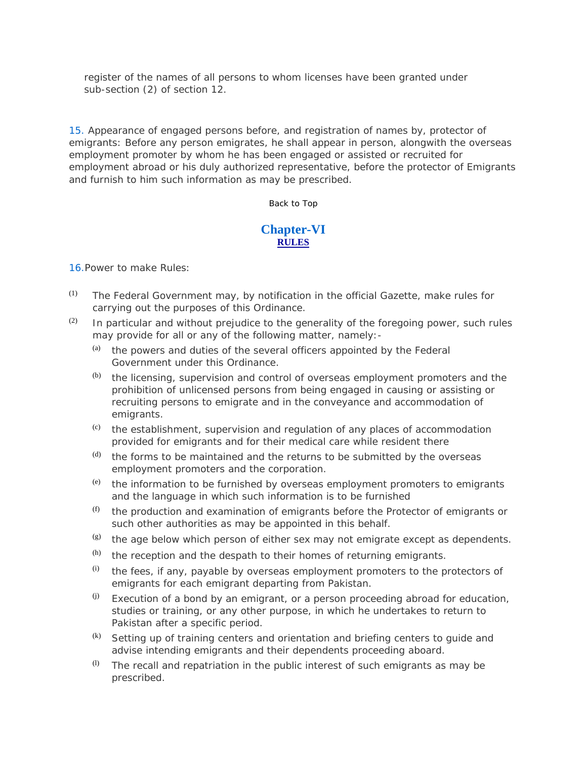register of the names of all persons to whom licenses have been granted under sub-section (2) of section 12.

15. Appearance of engaged persons before, and registration of names by, protector of emigrants: Before any person emigrates, he shall appear in person, alongwith the overseas employment promoter by whom he has been engaged or assisted or recruited for employment abroad or his duly authorized representative, before the protector of Emigrants and furnish to him such information as may be prescribed.

#### Back to Top

### **Chapter-VI RULES**

#### 16.Power to make Rules:

- $(1)$  The Federal Government may, by notification in the official Gazette, make rules for carrying out the purposes of this Ordinance.
- $(2)$  In particular and without prejudice to the generality of the foregoing power, such rules may provide for all or any of the following matter, namely:-
	- (a) the powers and duties of the several officers appointed by the Federal Government under this Ordinance.
	- $(b)$  the licensing, supervision and control of overseas employment promoters and the prohibition of unlicensed persons from being engaged in causing or assisting or recruiting persons to emigrate and in the conveyance and accommodation of emigrants.
	- $(c)$  the establishment, supervision and regulation of any places of accommodation provided for emigrants and for their medical care while resident there
	- $<sup>(d)</sup>$  the forms to be maintained and the returns to be submitted by the overseas</sup> employment promoters and the corporation.
	- (e) the information to be furnished by overseas employment promoters to emigrants and the language in which such information is to be furnished
	- $(f)$  the production and examination of emigrants before the Protector of emigrants or such other authorities as may be appointed in this behalf.
	- $($ g) the age below which person of either sex may not emigrate except as dependents.
	- $(h)$  the reception and the despath to their homes of returning emigrants.
	- $(i)$  the fees, if any, payable by overseas employment promoters to the protectors of emigrants for each emigrant departing from Pakistan.
	- $<sup>(j)</sup>$  Execution of a bond by an emigrant, or a person proceeding abroad for education,</sup> studies or training, or any other purpose, in which he undertakes to return to Pakistan after a specific period.
	- (k) Setting up of training centers and orientation and briefing centers to guide and advise intending emigrants and their dependents proceeding aboard.
	- $(1)$  The recall and repatriation in the public interest of such emigrants as may be prescribed.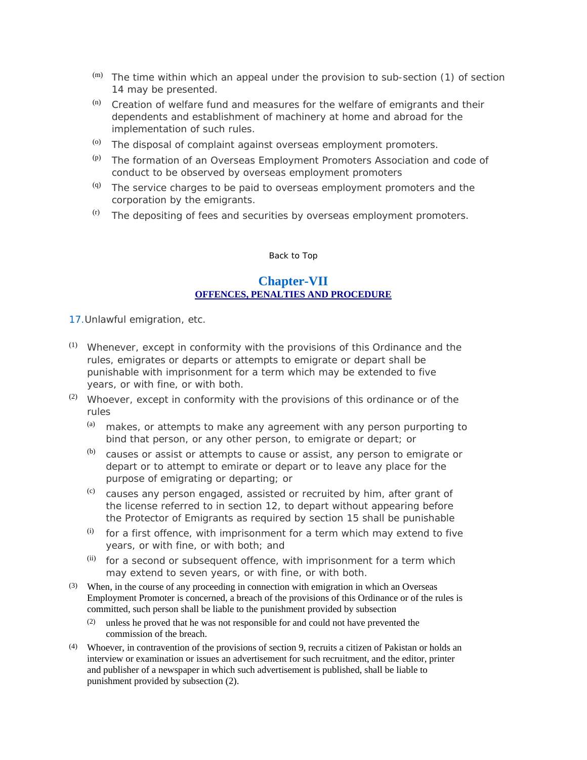- $(m)$  The time within which an appeal under the provision to sub-section (1) of section 14 may be presented.
- (n) Creation of welfare fund and measures for the welfare of emigrants and their dependents and establishment of machinery at home and abroad for the implementation of such rules.
- $^{(0)}$  The disposal of complaint against overseas employment promoters.
- $(p)$  The formation of an Overseas Employment Promoters Association and code of conduct to be observed by overseas employment promoters
- (q) The service charges to be paid to overseas employment promoters and the corporation by the emigrants.
- $($ f) The depositing of fees and securities by overseas employment promoters.

#### Back to Top

### **Chapter-VII OFFENCES, PENALTIES AND PROCEDURE**

17.Unlawful emigration, etc.

- $(1)$  Whenever, except in conformity with the provisions of this Ordinance and the rules, emigrates or departs or attempts to emigrate or depart shall be punishable with imprisonment for a term which may be extended to five years, or with fine, or with both.
- (2) Whoever, except in conformity with the provisions of this ordinance or of the rules
	- $(a)$  makes, or attempts to make any agreement with any person purporting to bind that person, or any other person, to emigrate or depart; or
	- $(b)$  causes or assist or attempts to cause or assist, any person to emigrate or depart or to attempt to emirate or depart or to leave any place for the purpose of emigrating or departing; or
	- (c) causes any person engaged, assisted or recruited by him, after grant of the license referred to in section 12, to depart without appearing before the Protector of Emigrants as required by section 15 shall be punishable
	- $(i)$  for a first offence, with imprisonment for a term which may extend to five years, or with fine, or with both; and
	- $(iii)$  for a second or subsequent offence, with imprisonment for a term which may extend to seven years, or with fine, or with both.
- (3) When, in the course of any proceeding in connection with emigration in which an Overseas Employment Promoter is concerned, a breach of the provisions of this Ordinance or of the rules is committed, such person shall be liable to the punishment provided by subsection
	- (2) unless he proved that he was not responsible for and could not have prevented the commission of the breach.
- (4) Whoever, in contravention of the provisions of section 9, recruits a citizen of Pakistan or holds an interview or examination or issues an advertisement for such recruitment, and the editor, printer and publisher of a newspaper in which such advertisement is published, shall be liable to punishment provided by subsection (2).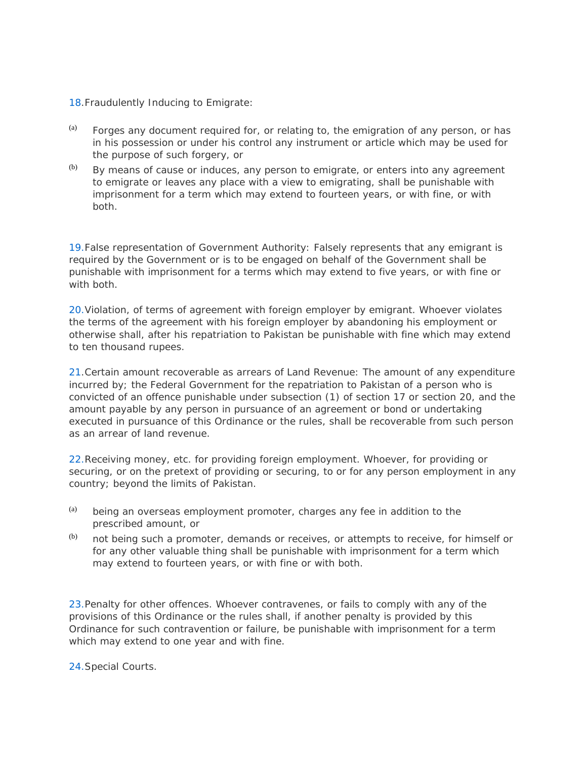### 18.Fraudulently Inducing to Emigrate:

- $(a)$  Forges any document required for, or relating to, the emigration of any person, or has in his possession or under his control any instrument or article which may be used for the purpose of such forgery, or
- $(b)$  By means of cause or induces, any person to emigrate, or enters into any agreement to emigrate or leaves any place with a view to emigrating, shall be punishable with imprisonment for a term which may extend to fourteen years, or with fine, or with both.

19.False representation of Government Authority: Falsely represents that any emigrant is required by the Government or is to be engaged on behalf of the Government shall be punishable with imprisonment for a terms which may extend to five years, or with fine or with both.

20.Violation, of terms of agreement with foreign employer by emigrant. Whoever violates the terms of the agreement with his foreign employer by abandoning his employment or otherwise shall, after his repatriation to Pakistan be punishable with fine which may extend to ten thousand rupees.

21.Certain amount recoverable as arrears of Land Revenue: The amount of any expenditure incurred by; the Federal Government for the repatriation to Pakistan of a person who is convicted of an offence punishable under subsection (1) of section 17 or section 20, and the amount payable by any person in pursuance of an agreement or bond or undertaking executed in pursuance of this Ordinance or the rules, shall be recoverable from such person as an arrear of land revenue.

22.Receiving money, etc. for providing foreign employment. Whoever, for providing or securing, or on the pretext of providing or securing, to or for any person employment in any country; beyond the limits of Pakistan.

- $(a)$  being an overseas employment promoter, charges any fee in addition to the prescribed amount, or
- $(b)$  not being such a promoter, demands or receives, or attempts to receive, for himself or for any other valuable thing shall be punishable with imprisonment for a term which may extend to fourteen years, or with fine or with both.

23.Penalty for other offences. Whoever contravenes, or fails to comply with any of the provisions of this Ordinance or the rules shall, if another penalty is provided by this Ordinance for such contravention or failure, be punishable with imprisonment for a term which may extend to one year and with fine.

24.Special Courts.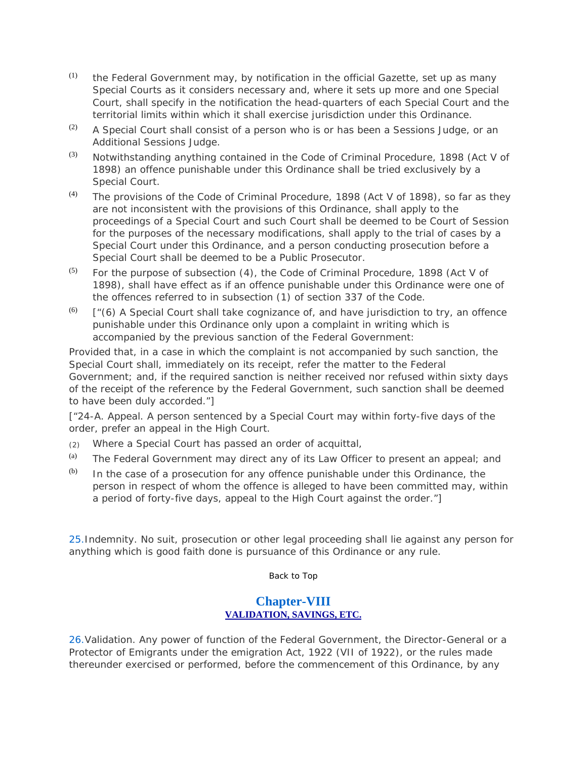- $(1)$  the Federal Government may, by notification in the official Gazette, set up as many Special Courts as it considers necessary and, where it sets up more and one Special Court, shall specify in the notification the head-quarters of each Special Court and the territorial limits within which it shall exercise jurisdiction under this Ordinance.
- $(2)$  A Special Court shall consist of a person who is or has been a Sessions Judge, or an Additional Sessions Judge.
- (3) Notwithstanding anything contained in the Code of Criminal Procedure, 1898 (Act V of 1898) an offence punishable under this Ordinance shall be tried exclusively by a Special Court.
- $(4)$  The provisions of the Code of Criminal Procedure, 1898 (Act V of 1898), so far as they are not inconsistent with the provisions of this Ordinance, shall apply to the proceedings of a Special Court and such Court shall be deemed to be Court of Session for the purposes of the necessary modifications, shall apply to the trial of cases by a Special Court under this Ordinance, and a person conducting prosecution before a Special Court shall be deemed to be a Public Prosecutor.
- $(5)$  For the purpose of subsection (4), the Code of Criminal Procedure, 1898 (Act V of 1898), shall have effect as if an offence punishable under this Ordinance were one of the offences referred to in subsection (1) of section 337 of the Code.
- $(6)$  ["(6) A Special Court shall take cognizance of, and have jurisdiction to try, an offence punishable under this Ordinance only upon a complaint in writing which is accompanied by the previous sanction of the Federal Government:

Provided that, in a case in which the complaint is not accompanied by such sanction, the Special Court shall, immediately on its receipt, refer the matter to the Federal Government; and, if the required sanction is neither received nor refused within sixty days of the receipt of the reference by the Federal Government, such sanction shall be deemed to have been duly accorded."]

["24-A. Appeal. A person sentenced by a Special Court may within forty-five days of the order, prefer an appeal in the High Court.

- (2) Where a Special Court has passed an order of acquittal,
- (a) The Federal Government may direct any of its Law Officer to present an appeal; and
- $(b)$  In the case of a prosecution for any offence punishable under this Ordinance, the person in respect of whom the offence is alleged to have been committed may, within a period of forty-five days, appeal to the High Court against the order."]

25.Indemnity. No suit, prosecution or other legal proceeding shall lie against any person for anything which is good faith done is pursuance of this Ordinance or any rule.

#### Back to Top

### **Chapter-VIII VALIDATION, SAVINGS, ETC.**

26.Validation. Any power of function of the Federal Government, the Director-General or a Protector of Emigrants under the emigration Act, 1922 (VII of 1922), or the rules made thereunder exercised or performed, before the commencement of this Ordinance, by any